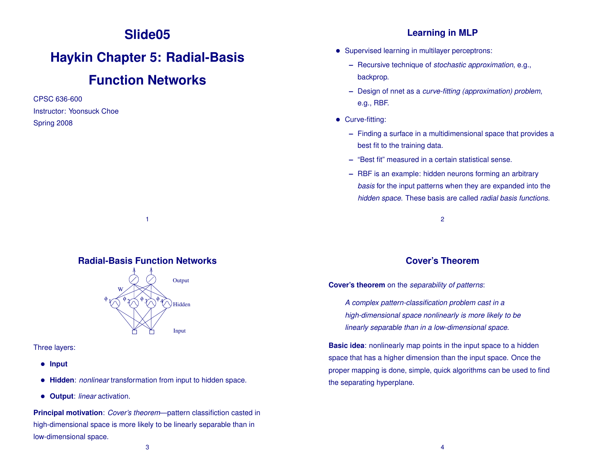## **Slide05**

# **Haykin Chapter 5: Radial-Basis**

## **Function Networks**

CPSC 636-600 Instructor: Yoonsuck Choe Spring 2008

### **Learning in MLP**

- Supervised learning in multilayer perceptrons:
	- **–** Recursive technique of *stochastic approximation*, e.g., backprop.
	- **–** Design of nnet as a *curve-fitting (approximation) problem*, e.g., RBF.
- Curve-fitting:
	- **–** Finding a surface in a multidimensional space that provides a best fit to the training data.
	- **–** "Best fit" measured in a certain statistical sense.
	- **–** RBF is an example: hidden neurons forming an arbitrary *basis* for the input patterns when they are expanded into the *hidden space*. These basis are called *radial basis functions*.

2

### **Cover's Theorem**

**Cover's theorem** on the *separability of patterns*:

*A complex pattern-classification problem cast in a high-dimensional space nonlinearly is more likely to be linearly separable than in a low-dimensional space.*

**Basic idea:** nonlinearly map points in the input space to a hidden space that has a higher dimension than the input space. Once the proper mapping is done, simple, quick algorithms can be used to find the separating hyperplane.

### **Radial-Basis Function Networks**

1



Three layers:

- **Input**
- **Hidden**: *nonlinear* transformation from input to hidden space.
- **Output**: *linear* activation.

**Principal motivation**: *Cover's theorem*—pattern classifiction casted in high-dimensional space is more likely to be linearly separable than in low-dimensional space.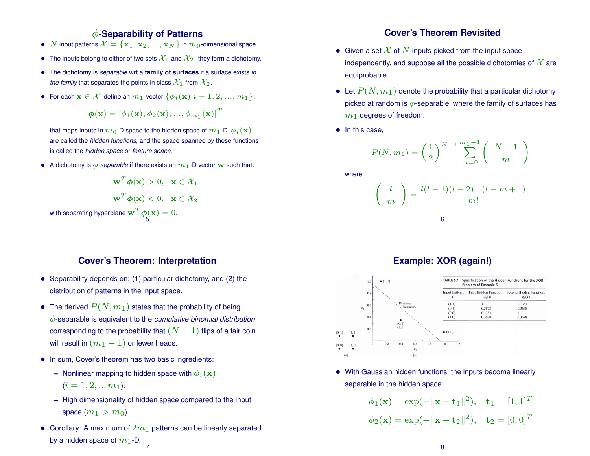### φ**-Separability of Patterns**

- N input patterns  $\mathcal{X} = {\mathbf{x}_1, \mathbf{x}_2, ..., \mathbf{x}_N}$  in  $m_0$ -dimensional space.
- The inputs belong to either of two sets  $\mathcal{X}_1$  and  $\mathcal{X}_2$ : they form a dichotomy.
- The dichotomy is *separable* wrt a **family of surfaces** if a surface exists *in the family* that separates the points in class  $\mathcal{X}_1$  from  $\mathcal{X}_2$ .
- For each  $\mathbf{x} \in \mathcal{X}$ , define an  $m_1$ -vector  $\{\phi_i(\mathbf{x}) | i-1, 2, ..., m_1\}$ :

$$
\boldsymbol{\phi}(\mathbf{x}) = \left[\phi_1(\mathbf{x}), \phi_2(\mathbf{x}), ..., \phi_{m_1}(\mathbf{x})\right]^T
$$

that maps inputs in  $m_0$ -D space to the hidden space of  $m_1$ -D.  $\phi_i(\mathbf{x})$ are called the *hidden functions*, and the space spanned by these functions is called the *hidden space* or *feature space*.

• A dichotomy is  $\phi$ -separable if there exists an  $m_1$ -D vector w such that:

$$
\mathbf{w}^T \boldsymbol{\phi}(\mathbf{x}) > 0, \quad \mathbf{x} \in \mathcal{X}_1
$$

$$
\mathbf{w}^T \boldsymbol{\phi}(\mathbf{x}) < 0, \quad \mathbf{x} \in \mathcal{X}_2
$$
with separating hyperplane 
$$
\mathbf{w}^T \boldsymbol{\phi}(\mathbf{x}) = 0.
$$

### **Cover's Theorem: Interpretation**

- Separability depends on: (1) particular dichotomy, and (2) the distribution of patterns in the input space.
- The derived  $P(N, m_1)$  states that the probability of being φ-separable is equivalent to the *cumulative binomial distribution* corresponding to the probability that  $(N-1)$  flips of a fair coin will result in  $(m_1 - 1)$  or fewer heads.
- In sum, Cover's theorem has two basic ingredients:
	- $-$  Nonlinear mapping to hidden space with  $\phi_i(\mathbf{x})$  $(i = 1, 2, ..., m_1).$
	- **–** High dimensionality of hidden space compared to the input space  $(m_1 > m_0)$ .
- Corollary: A maximum of  $2m_1$  patterns can be linearly separated by a hidden space of  $m_1$ -D. 7

### **Cover's Theorem Revisited**

- Given a set  $\mathcal X$  of  $N$  inputs picked from the input space independently, and suppose all the possible dichotomies of  $\mathcal X$  are equiprobable.
- Let  $P(N, m_1)$  denote the probability that a particular dichotomy picked at random is  $\phi$ -separable, where the family of surfaces has  $m_1$  degrees of freedom.
- In this case,

$$
P(N, m_1) = \left(\frac{1}{2}\right)^{N-1} \sum_{m=0}^{m_1-1} \binom{N-1}{m}
$$

where

$$
\begin{pmatrix}\n l \\
 m\n\end{pmatrix} = \frac{l(l-1)(l-2)...(l-m+1)}{m!}
$$

### **Example: XOR (again!)**



• With Gaussian hidden functions, the inputs become linearly separable in the hidden space:

$$
\phi_1(\mathbf{x}) = \exp(-\|\mathbf{x} - \mathbf{t}_1\|^2), \quad \mathbf{t}_1 = [1, 1]^T
$$
  
 $\phi_2(\mathbf{x}) = \exp(-\|\mathbf{x} - \mathbf{t}_2\|^2), \quad \mathbf{t}_2 = [0, 0]^T$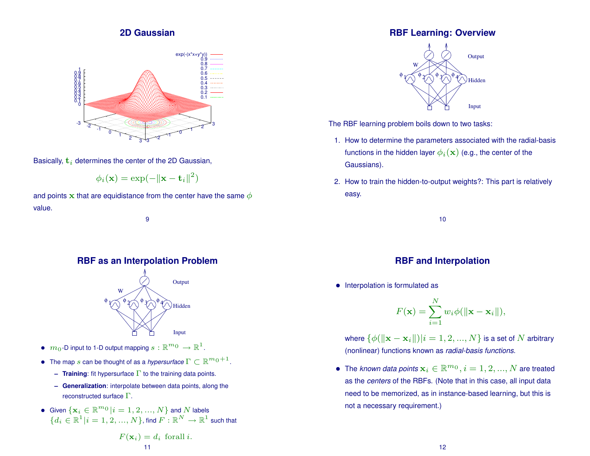### **2D Gaussian**



Basically,  $t_i$  determines the center of the 2D Gaussian,

$$
\phi_i(\mathbf{x}) = \exp(-\|\mathbf{x} - \mathbf{t}_i\|^2)
$$

and points x that are equidistance from the center have the same  $\phi$ value.

9

### **RBF as an Interpolation Problem**



- $\bullet \ \ m_0\text{-D}$  input to 1-D output mapping  $s: \mathbb{R}^{m_0} \to \mathbb{R}^1$ .
- The map s can be thought of as a *hypersurface*  $\Gamma \subset \mathbb{R}^{m_0+1}$ .
	- **– Training**: fit hypersurface Γ to the training data points.
	- **– Generalization**: interpolate between data points, along the reconstructed surface  $\Gamma$ .

$$
\begin{aligned} \bullet \quad & \text{Given } \{\mathbf{x}_i \in \mathbb{R}^{m_0} | i=1,2,...,N\} \text{ and } N \text{ labels} \\ & \{d_i \in \mathbb{R}^1 | i=1,2,...,N\}, \text{find } F: \mathbb{R}^N \rightarrow \mathbb{R}^1 \text{ such that} \end{aligned}
$$

$$
F(\mathbf{x}_i) = d_i \text{ for all } i.
$$
  
11

### **RBF Learning: Overview**



The RBF learning problem boils down to two tasks:

- 1. How to determine the parameters associated with the radial-basis functions in the hidden layer  $\phi_i(\mathbf{x})$  (e.g., the center of the Gaussians).
- 2. How to train the hidden-to-output weights?: This part is relatively easy.

10

### **RBF and Interpolation**

• Interpolation is formulated as

$$
F(\mathbf{x}) = \sum_{i=1}^{N} w_i \phi(||\mathbf{x} - \mathbf{x}_i||),
$$

where  $\{\phi(||\mathbf{x} - \mathbf{x}_i||) | i = 1, 2, ..., N\}$  is a set of N arbitrary (nonlinear) functions known as *radial-basis functions*.

• The *known data points*  $\mathbf{x}_i \in \mathbb{R}^{m_0}, i = 1, 2, ..., N$  are treated as the *centers* of the RBFs. (Note that in this case, all input data need to be memorized, as in instance-based learning, but this is not a necessary requirement.)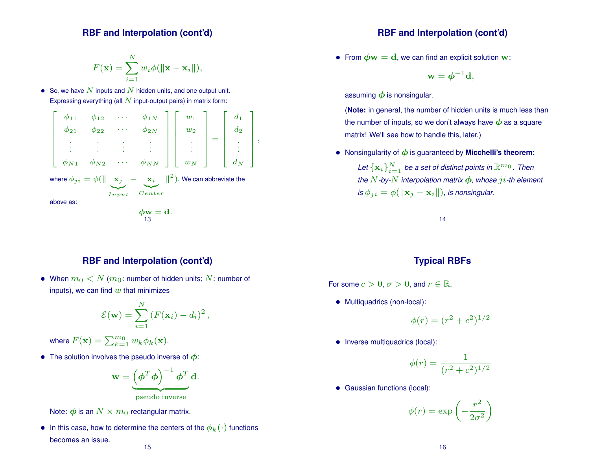#### **RBF and Interpolation (cont'd)**

$$
F(\mathbf{x}) = \sum_{i=1}^{N} w_i \phi(||\mathbf{x} - \mathbf{x}_i||),
$$

• So, we have  $N$  inputs and  $N$  hidden units, and one output unit. Expressing everything (all  $N$  input-output pairs) in matrix form:



### **RBF and Interpolation (cont'd)**

• When  $m_0 < N(m_0:$  number of hidden units; N: number of inputs), we can find  $w$  that minimizes

$$
\mathcal{E}(\mathbf{w}) = \sum_{i=1}^{N} (F(\mathbf{x}_i) - d_i)^2,
$$

where  $F(\mathbf{x}) = \sum_{k=1}^{m_0} w_k \phi_k(\mathbf{x})$ .

• The solution involves the pseudo inverse of  $\phi$ :

$$
\mathbf{w} = \underbrace{\left(\boldsymbol{\phi}^T \boldsymbol{\phi}\right)^{-1} \boldsymbol{\phi}^T \mathbf{d}}_{\text{pseudo inverse}}.
$$



Note:  $\phi$  is an  $N \times m_0$  rectangular matrix.

• In this case, how to determine the centers of the  $\phi_k(\cdot)$  functions becomes an issue. 15

### **RBF and Interpolation (cont'd)**

• From  $\phi w = d$ , we can find an explicit solution w:

$$
\mathbf{w} = \boldsymbol{\phi}^{-1} \mathbf{d},
$$

assuming  $\phi$  is nonsingular.

(**Note:** in general, the number of hidden units is much less than the number of inputs, so we don't always have  $\phi$  as a square matrix! We'll see how to handle this, later.)

• Nonsingularity of  $\phi$  is guaranteed by **Micchelli's theorem**:

Let  $\{{\bf x}_i\}_{i=1}^N$  be a set of distinct points in  $\mathbb{R}^{m_0}$  . Then *the*  $N$ -by- $N$  *interpolation matrix*  $\phi$ *, whose*  $ji$ -th element *is*  $\phi_{ji} = \phi(||\mathbf{x}_i - \mathbf{x}_i||)$ , *is nonsingular.* 

14

### **Typical RBFs**

For some  $c > 0$ ,  $\sigma > 0$ , and  $r \in \mathbb{R}$ .

• Multiquadrics (non-local):

$$
\phi(r) = (r^2 + c^2)^{1/2}
$$

• Inverse multiquadrics (local):

$$
\phi(r) = \frac{1}{(r^2 + c^2)^{1/2}}
$$

• Gaussian functions (local):

$$
\phi(r)=\exp\left(-\frac{r^2}{2\sigma^2}\right)
$$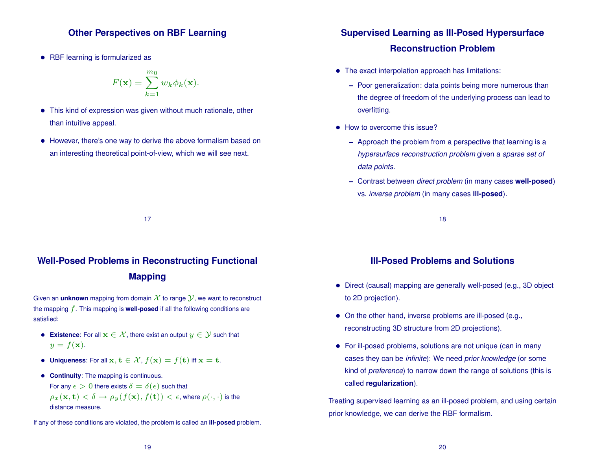### **Other Perspectives on RBF Learning**

• RBF learning is formularized as

$$
F(\mathbf{x}) = \sum_{k=1}^{m_0} w_k \phi_k(\mathbf{x}).
$$

- This kind of expression was given without much rationale, other than intuitive appeal.
- However, there's one way to derive the above formalism based on an interesting theoretical point-of-view, which we will see next.

## **Well-Posed Problems in Reconstructing Functional Mapping**

17

Given an **unknown** mapping from domain  $\mathcal X$  to range  $\mathcal Y$ , we want to reconstruct the mapping f. This mapping is **well-posed** if all the following conditions are satisfied:

- **Existence**: For all  $x \in \mathcal{X}$ , there exist an output  $y \in \mathcal{Y}$  such that  $y = f(\mathbf{x}).$
- **Uniqueness**: For all  $x, t \in \mathcal{X}$ ,  $f(x) = f(t)$  iff  $x = t$ .
- **Continuity**: The mapping is continuous. For any  $\epsilon > 0$  there exists  $\delta = \delta(\epsilon)$  such that  $\rho_x(\mathbf{x}, \mathbf{t}) < \delta \to \rho_y(f(\mathbf{x}), f(\mathbf{t})) < \epsilon$ , where  $\rho(\cdot, \cdot)$  is the distance measure.

If any of these conditions are violated, the problem is called an **ill-posed** problem.

### **Supervised Learning as Ill-Posed Hypersurface Reconstruction Problem**

- The exact interpolation approach has limitations:
	- **–** Poor generalization: data points being more numerous than the degree of freedom of the underlying process can lead to overfitting.
- How to overcome this issue?
	- **–** Approach the problem from a perspective that learning is a *hypersurface reconstruction problem* given a *sparse set of data points*.
	- **–** Contrast between *direct problem* (in many cases **well-posed**) vs. *inverse problem* (in many cases **ill-posed**).

18

### **Ill-Posed Problems and Solutions**

- Direct (causal) mapping are generally well-posed (e.g., 3D object to 2D projection).
- On the other hand, inverse problems are ill-posed (e.g., reconstructing 3D structure from 2D projections).
- For ill-posed problems, solutions are not unique (can in many cases they can be *infinite*): We need *prior knowledge* (or some kind of *preference*) to narrow down the range of solutions (this is called **regularization**).

Treating supervised learning as an ill-posed problem, and using certain prior knowledge, we can derive the RBF formalism.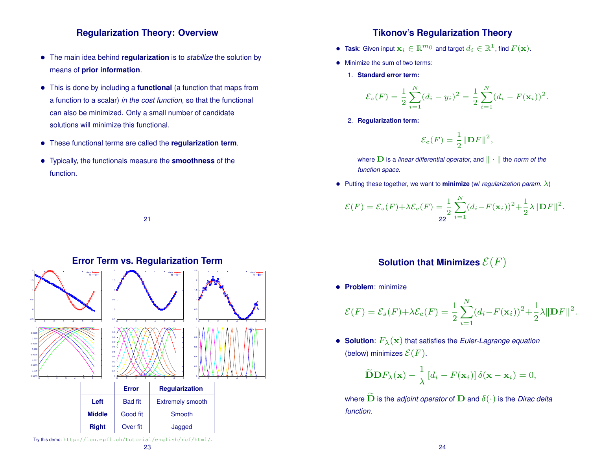### **Regularization Theory: Overview**

- The main idea behind **regularization** is to *stabilize* the solution by means of **prior information**.
- This is done by including a **functional** (a function that maps from a function to a scalar) *in the cost function*, so that the functional can also be minimized. Only a small number of candidate solutions will minimize this functional.
- These functional terms are called the **regularization term**.
- Typically, the functionals measure the **smoothness** of the function.

21



### **Error Term vs. Regularization Term**

### **Tikonov's Regularization Theory**

- $\bullet$  Task: Given input  $\mathbf{x}_i \in \mathbb{R}^{m_0}$  and target  $d_i \in \mathbb{R}^1$ , find  $F(\mathbf{x})$ .
- Minimize the sum of two terms:
	- 1. **Standard error term:**

$$
\mathcal{E}_s(F) = \frac{1}{2} \sum_{i=1}^N (d_i - y_i)^2 = \frac{1}{2} \sum_{i=1}^N (d_i - F(\mathbf{x}_i))^2.
$$

2. **Regularization term:**

$$
\mathcal{E}_c(F) = \frac{1}{2} {\|\mathbf{D}F\|}^2,
$$

where  $\bf{D}$  is a *linear differential operator*, and  $\|\cdot\|$  the *norm of the function space*.

• Putting these together, we want to **minimize** (w/ *regularization param.*  $\lambda$ )

$$
\mathcal{E}(F) = \mathcal{E}_s(F) + \lambda \mathcal{E}_c(F) = \frac{1}{2} \sum_{i=1}^N (d_i - F(\mathbf{x}_i))^2 + \frac{1}{2} \lambda ||\mathbf{D}F||^2.
$$

### **Solution that Minimizes**  $\mathcal{E}(F)$

• **Problem**: minimize

$$
\mathcal{E}(F) = \mathcal{E}_s(F) + \lambda \mathcal{E}_c(F) = \frac{1}{2} \sum_{i=1}^N (d_i - F(\mathbf{x}_i))^2 + \frac{1}{2} \lambda ||\mathbf{D}F||^2.
$$

• **Solution**:  $F_{\lambda}(\mathbf{x})$  that satisfies the *Euler-Lagrange equation* (below) minimizes  $\mathcal{E}(F)$ .

$$
\widetilde{\mathbf{D}}\mathbf{D}F_{\lambda}(\mathbf{x}) - \frac{1}{\lambda} [d_i - F(\mathbf{x}_i)] \delta(\mathbf{x} - \mathbf{x}_i) = 0,
$$

where  $\widetilde{\mathbf{D}}$  is the *adjoint operator* of  $\mathbf{D}$  and  $\delta(\cdot)$  is the *Dirac delta function*.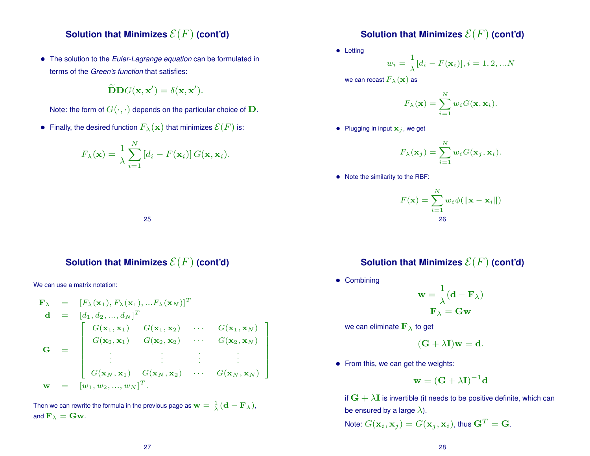### **Solution that Minimizes**  $\mathcal{E}(F)$  (cont'd)

• The solution to the *Euler-Lagrange equation* can be formulated in terms of the *Green's function* that satisfies:

$$
\widetilde{\mathbf{D}}\mathbf{D}G(\mathbf{x},\mathbf{x}')=\delta(\mathbf{x},\mathbf{x}').
$$

Note: the form of  $G(\cdot, \cdot)$  depends on the particular choice of  $D$ .

• Finally, the desired function  $F_{\lambda}(\mathbf{x})$  that minimizes  $\mathcal{E}(F)$  is:

$$
F_{\lambda}(\mathbf{x}) = \frac{1}{\lambda} \sum_{i=1}^{N} [d_i - F(\mathbf{x}_i)] G(\mathbf{x}, \mathbf{x}_i).
$$

### **Solution that Minimizes**  $\mathcal{E}(F)$  (cont'd)

• Letting

$$
w_i = \frac{1}{\lambda} [d_i - F(\mathbf{x}_i)], i = 1, 2, \dots N
$$

we can recast  $F_{\lambda}(\mathbf{x})$  as

$$
F_{\lambda}(\mathbf{x}) = \sum_{i=1}^{N} w_i G(\mathbf{x}, \mathbf{x}_i).
$$

• Plugging in input  $x_i$ , we get

$$
F_{\lambda}(\mathbf{x}_j) = \sum_{i=1}^N w_i G(\mathbf{x}_j, \mathbf{x}_i).
$$

• Note the similarity to the RBF:

$$
F(\mathbf{x}) = \sum_{i=1}^{N} w_i \phi(\|\mathbf{x} - \mathbf{x}_i\|)
$$
  
26

#### 25

### **Solution that Minimizes**  $\mathcal{E}(F)$  (cont'd)

We can use a matrix notation:

$$
\mathbf{F}_{\lambda} = [F_{\lambda}(\mathbf{x}_{1}), F_{\lambda}(\mathbf{x}_{1}), ... F_{\lambda}(\mathbf{x}_{N})]^{T}
$$
\n
$$
\mathbf{d} = [d_{1}, d_{2}, ..., d_{N}]^{T}
$$
\n
$$
G(\mathbf{x}_{1}, \mathbf{x}_{1}) \quad G(\mathbf{x}_{1}, \mathbf{x}_{2}) \quad \cdots \quad G(\mathbf{x}_{1}, \mathbf{x}_{N})
$$
\n
$$
G = \begin{bmatrix}\nG(\mathbf{x}_{1}, \mathbf{x}_{1}) & G(\mathbf{x}_{1}, \mathbf{x}_{2}) & \cdots & G(\mathbf{x}_{1}, \mathbf{x}_{N}) \\
G(\mathbf{x}_{2}, \mathbf{x}_{1}) & G(\mathbf{x}_{2}, \mathbf{x}_{2}) & \cdots & G(\mathbf{x}_{2}, \mathbf{x}_{N}) \\
\vdots & \vdots & \ddots & \vdots \\
G(\mathbf{x}_{N}, \mathbf{x}_{1}) & G(\mathbf{x}_{N}, \mathbf{x}_{2}) & \cdots & G(\mathbf{x}_{N}, \mathbf{x}_{N})\n\end{bmatrix}
$$
\n
$$
\mathbf{w} = [w_{1}, w_{2}, ..., w_{N}]^{T}.
$$

Then we can rewrite the formula in the previous page as  ${\bf w}=\frac{1}{\lambda}({\bf d}-{\bf F}_{\lambda}),$ and  $\mathbf{F}_{\lambda} = \mathbf{G}\mathbf{w}$ .

### **Solution that Minimizes**  $\mathcal{E}(F)$  (cont'd)

• Combining

$$
\mathbf{w} = \frac{1}{\lambda} (\mathbf{d} - \mathbf{F}_{\lambda})
$$

$$
\mathbf{F}_{\lambda} = \mathbf{G} \mathbf{w}
$$

we can eliminate  $\mathbf{F}_{\lambda}$  to get

- $(G + \lambda I)w = d.$
- From this, we can get the weights:

$$
\mathbf{w} = (\mathbf{G} + \lambda \mathbf{I})^{-1} \mathbf{d}
$$

if  $G + \lambda I$  is invertible (it needs to be positive definite, which can be ensured by a large  $\lambda$ ).

Note: 
$$
G(\mathbf{x}_i, \mathbf{x}_j) = G(\mathbf{x}_j, \mathbf{x}_i)
$$
, thus  $\mathbf{G}^T = \mathbf{G}$ .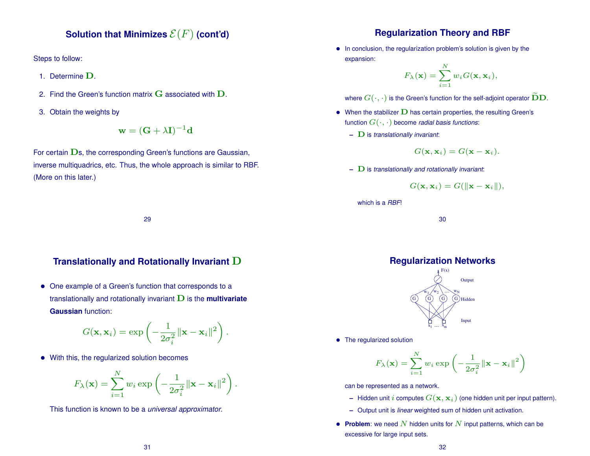### **Solution that Minimizes**  $\mathcal{E}(F)$  (cont'd)

Steps to follow:

- 1. Determine D.
- 2. Find the Green's function matrix  $G$  associated with  $D$ .
- 3. Obtain the weights by

$$
\mathbf{w} = (\mathbf{G} + \lambda \mathbf{I})^{-1} \mathbf{d}
$$

For certain  $\mathbf{D}s$ , the corresponding Green's functions are Gaussian, inverse multiquadrics, etc. Thus, the whole approach is similar to RBF. (More on this later.)

#### 29

#### **Translationally and Rotationally Invariant** D

• One example of a Green's function that corresponds to a translationally and rotationally invariant  $\mathbf D$  is the **multivariate Gaussian** function:

$$
G(\mathbf{x}, \mathbf{x}_i) = \exp\left(-\frac{1}{2\sigma_i^2} ||\mathbf{x} - \mathbf{x}_i||^2\right).
$$

• With this, the regularized solution becomes

$$
F_{\lambda}(\mathbf{x}) = \sum_{i=1}^{N} w_i \exp\left(-\frac{1}{2\sigma_i^2} ||\mathbf{x} - \mathbf{x}_i||^2\right)
$$

.

This function is known to be a *universal approximator*.

### **Regularization Theory and RBF**

• In conclusion, the regularization problem's solution is given by the expansion:  $\mathbf{v}$ 

$$
F_{\lambda}(\mathbf{x}) = \sum_{i=1}^{N} w_i G(\mathbf{x}, \mathbf{x}_i),
$$

where  $G(\cdot, \cdot)$  is the Green's function for the self-adjoint operator  $\widetilde{\mathbf{D}}\mathbf{D}$ .

- When the stabilizer  **has certain properties, the resulting Green's** function  $G(\cdot, \cdot)$  become *radial basis functions*:
	- **–** D is *translationally invariant*:

$$
G(\mathbf{x}, \mathbf{x}_i) = G(\mathbf{x} - \mathbf{x}_i).
$$

**–** D is *translationally and rotationally invariant*:

$$
G(\mathbf{x}, \mathbf{x}_i) = G(\|\mathbf{x} - \mathbf{x}_i\|),
$$

which is a *RBF*!

30

### **Regularization Networks**



• The regularized solution

$$
F_{\lambda}(\mathbf{x}) = \sum_{i=1}^{N} w_i \exp \left(-\frac{1}{2\sigma_i^2} ||\mathbf{x} - \mathbf{x}_i||^2\right)
$$

can be represented as a network.

- **–** Hidden unit i computes  $G(\mathbf{x}, \mathbf{x}_i)$  (one hidden unit per input pattern).
- **–** Output unit is *linear* weighted sum of hidden unit activation.
- **Problem**: we need  $N$  hidden units for  $N$  input patterns, which can be excessive for large input sets.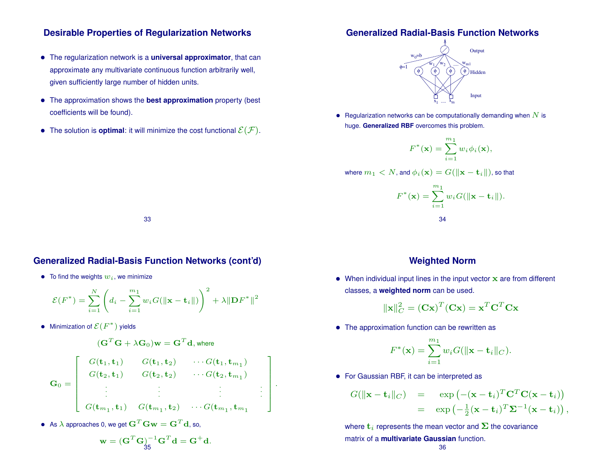### **Desirable Properties of Regularization Networks**

- The regularization network is a **universal approximator**, that can approximate any multivariate continuous function arbitrarily well, given sufficiently large number of hidden units.
- The approximation shows the **best approximation** property (best coefficients will be found).
- The solution is **optimal**: it will minimize the cost functional  $\mathcal{E}(\mathcal{F})$ .

### **Generalized Radial-Basis Function Networks**



• Regularization networks can be computationally demanding when  $N$  is huge. **Generalized RBF** overcomes this problem.

$$
F^*(\mathbf{x}) = \sum_{i=1}^{m_1} w_i \phi_i(\mathbf{x}),
$$

where  $m_1 < N$ , and  $\phi_i(\mathbf{x}) = G(||\mathbf{x} - \mathbf{t}_i||)$ , so that

$$
F^*(\mathbf{x}) = \sum_{i=1}^{m_1} w_i G(||\mathbf{x} - \mathbf{t}_i||).
$$
  
34

33

### **Generalized Radial-Basis Function Networks (cont'd)**

• To find the weights  $w_i$ , we minimize

$$
\mathcal{E}(F^*) = \sum_{i=1}^N \left( d_i - \sum_{i=1}^{m_1} w_i G(||\mathbf{x} - \mathbf{t}_i||) \right)^2 + \lambda ||\mathbf{D}F^*||^2
$$

• Minimization of  $\mathcal{E}(F^*)$  yields

$$
(\mathbf{G}^T\mathbf{G} + \lambda\mathbf{G}_0)\mathbf{w} = \mathbf{G}^T\mathbf{d}, \text{where}
$$

$$
\mathbf{G}_0 = \left[ \begin{array}{cccc} G(\mathbf{t}_1, \mathbf{t}_1) & G(\mathbf{t}_1, \mathbf{t}_2) & \cdots G(\mathbf{t}_1, \mathbf{t}_{m_1}) \\ G(\mathbf{t}_2, \mathbf{t}_1) & G(\mathbf{t}_2, \mathbf{t}_2) & \cdots G(\mathbf{t}_2, \mathbf{t}_{m_1}) \\ \vdots & \vdots & \ddots & \vdots \\ G(\mathbf{t}_{m_1}, \mathbf{t}_1) & G(\mathbf{t}_{m_1}, \mathbf{t}_2) & \cdots G(\mathbf{t}_{m_1}, \mathbf{t}_{m_1}) \end{array} \right].
$$

 $\bullet~$  As  $\lambda$  approaches 0, we get  $\mathbf{G}^T\mathbf{G}\mathbf{w} = \mathbf{G}^T\mathbf{d}$ , so,

$$
\mathbf{w} = (\mathbf{G}^T \mathbf{G})_3^{-1} \mathbf{G}^T \mathbf{d} = \mathbf{G}^+ \mathbf{d}.
$$

### **Weighted Norm**

 $\bullet$  When individual input lines in the input vector  $\mathbf x$  are from different classes, a **weighted norm** can be used.

$$
\|\mathbf{x}\|_{C}^{2} = (\mathbf{C}\mathbf{x})^{T}(\mathbf{C}\mathbf{x}) = \mathbf{x}^{T}\mathbf{C}^{T}\mathbf{C}\mathbf{x}
$$

• The approximation function can be rewritten as

$$
F^*(\mathbf{x}) = \sum_{i=1}^{m_1} w_i G(||\mathbf{x} - \mathbf{t}_i||_C).
$$

• For Gaussian RBF, it can be interpreted as

$$
G(||\mathbf{x} - \mathbf{t}_i||_C) = \exp(-(\mathbf{x} - \mathbf{t}_i)^T \mathbf{C}^T \mathbf{C} (\mathbf{x} - \mathbf{t}_i))
$$
  
= 
$$
\exp(-\frac{1}{2}(\mathbf{x} - \mathbf{t}_i)^T \mathbf{\Sigma}^{-1} (\mathbf{x} - \mathbf{t}_i)),
$$

where  $t_i$  represents the mean vector and  $\Sigma$  the covariance matrix of a **multivariate Gaussian** function. 36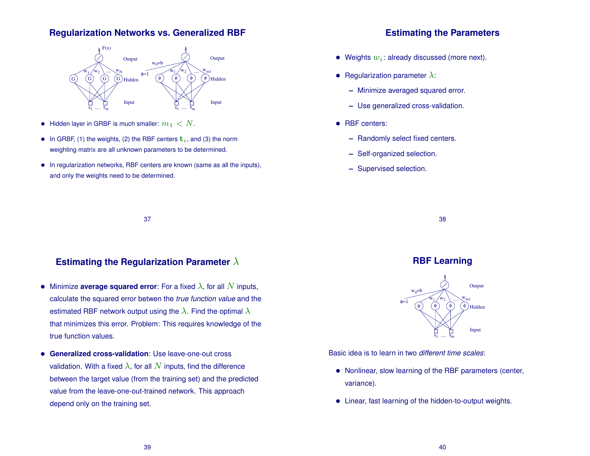### **Regularization Networks vs. Generalized RBF**



- Hidden layer in GRBF is much smaller:  $m_1 < N$ .
- In GRBF, (1) the weights, (2) the RBF centers  $t_i$ , and (3) the norm weighting matrix are all unknown parameters to be determined.
- In regularization networks, RBF centers are known (same as all the inputs), and only the weights need to be determined.

### **Estimating the Parameters**

- Weights  $w_i$ : already discussed (more next).
- Regularization parameter  $\lambda$ :
	- **–** Minimize averaged squared error.
	- **–** Use generalized cross-validation.
- RBF centers:
	- **–** Randomly select fixed centers.
	- **–** Self-organized selection.
	- **–** Supervised selection.

37

### **Estimating the Regularization Parameter** λ

- Minimize **average squared error**: For a fixed  $\lambda$ , for all  $N$  inputs, calculate the squared error betwen the *true function value* and the estimated RBF network output using the  $\lambda$ . Find the optimal  $\lambda$ that minimizes this error. Problem: This requires knowledge of the true function values.
- **Generalized cross-validation**: Use leave-one-out cross validation. With a fixed  $\lambda$ , for all N inputs, find the difference between the target value (from the training set) and the predicted value from the leave-one-out-trained network. This approach depend only on the training set.

#### 38

### **RBF Learning**



Basic idea is to learn in two *different time scales*:

- Nonlinear, slow learning of the RBF parameters (center, variance).
- Linear, fast learning of the hidden-to-output weights.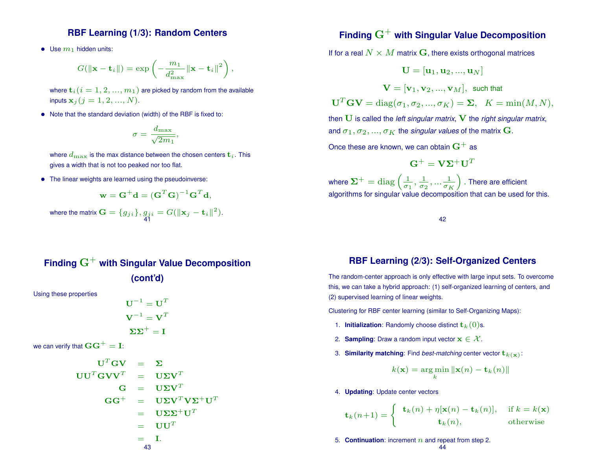### **RBF Learning (1/3): Random Centers**

• Use  $m_1$  hidden units:

$$
G(\|\mathbf{x} - \mathbf{t}_{i}\|) = \exp\left(-\frac{m_1}{d_{\max}^2} \|\mathbf{x} - \mathbf{t}_{i}\|^2\right),\,
$$

- where  $\mathbf{t}_{i}$   $(i = 1, 2, ..., m_1)$  are picked by random from the available inputs  ${\bf x}_j$   $(j = 1, 2, ..., N)$ .
- Note that the standard deviation (width) of the RBF is fixed to:

$$
\sigma = \frac{d_{\max}}{\sqrt{2m_1}},
$$

where  $d_{\text{max}}$  is the max distance between the chosen centers  $\mathbf{t}_i$ . This gives a width that is not too peaked nor too flat.

• The linear weights are learned using the pseudoinverse:

$$
\mathbf{w} = \mathbf{G}^+ \mathbf{d} = (\mathbf{G}^T \mathbf{G})^{-1} \mathbf{G}^T \mathbf{d},
$$

where the matrix  $\mathbf{G} = \{g_{ji}\}, g_{ji} = G(\|\mathbf{x}_j - \mathbf{t}_i\|^2).$ 41

## **Finding** G<sup>+</sup> **with Singular Value Decomposition (cont'd)** Using these properties  $\textbf{U}^{-1}=\textbf{U}^T$

$$
V^{-1} = V^{T}
$$
  
\n
$$
\Sigma\Sigma^{+} = I
$$
  
\nwe can verify that  $GG^{+} = I$ :  
\n
$$
U^{T}GV = \Sigma
$$
  
\n
$$
UU^{T}GVV^{T} = U\Sigma V^{T}
$$
  
\n
$$
G = U\Sigma V^{T}
$$
  
\n
$$
GG^{+} = U\Sigma V^{T}V\Sigma^{+}U^{T}
$$
  
\n
$$
= U\Sigma\Sigma^{+}U^{T}
$$
  
\n
$$
= UU^{T}
$$
  
\n
$$
= I.
$$

## $\mathsf{Finding}\ \mathbf{G}^+$  with Singular Value Decomposition

If for a real  $N \times M$  matrix G, there exists orthogonal matrices

$$
\mathbf{U} = [\mathbf{u}_1, \mathbf{u}_2, ..., \mathbf{u}_N]
$$

$$
\mathbf{V} = [\mathbf{v}_1, \mathbf{v}_2, ..., \mathbf{v}_M], \text{ such that}
$$

$$
\mathbf{U}^T \mathbf{G} \mathbf{V} = \text{diag}(\sigma_1, \sigma_2, ..., \sigma_K) = \Sigma, \quad K = \min(M, N),
$$

then U is called the *left singular matrix*, V the *right singular matrix*, and  $\sigma_1, \sigma_2, ..., \sigma_K$  the *singular values* of the matrix **G**.

Once these are known, we can obtain  $\mathbf{G}^+$  as

$$
\mathbf{G}^+ = \mathbf{V} \mathbf{\Sigma}^+ \mathbf{U}^T
$$

where  $\mathbf{\Sigma}^{+} = \text{diag} \left( \frac{1}{\sigma_{1}} \right)$  $\frac{1}{\sigma_1}, \frac{1}{\sigma_2}$  $\frac{1}{\sigma_2}, \ldots \frac{1}{\sigma_R}$  $\sigma_K$ ). There are efficient algorithms for singular value decomposition that can be used for this.

42

#### **RBF Learning (2/3): Self-Organized Centers**

The random-center approach is only effective with large input sets. To overcome this, we can take a hybrid approach: (1) self-organized learning of centers, and (2) supervised learning of linear weights.

Clustering for RBF center learning (similar to Self-Organizing Maps):

- 1. **Initialization**: Randomly choose distinct  $\mathbf{t}_k(0)$ s.
- 2. **Sampling**: Draw a random input vector  $\mathbf{x} \in \mathcal{X}$ .
- 3. **Similarity matching**: Find *best-matching* center vector  $\mathbf{t}_{k(\mathbf{x})}$ :

$$
k(\mathbf{x}) = \argmin_k \|\mathbf{x}(n) - \mathbf{t}_k(n)\|
$$

4. **Updating**: Update center vectors

$$
\mathbf{t}_k(n+1) = \begin{cases} \mathbf{t}_k(n) + \eta[\mathbf{x}(n) - \mathbf{t}_k(n)], & \text{if } k = k(\mathbf{x}) \\ \mathbf{t}_k(n), & \text{otherwise} \end{cases}
$$

5. **Continuation**: increment  $n$  and repeat from step 2.

$$
44
$$